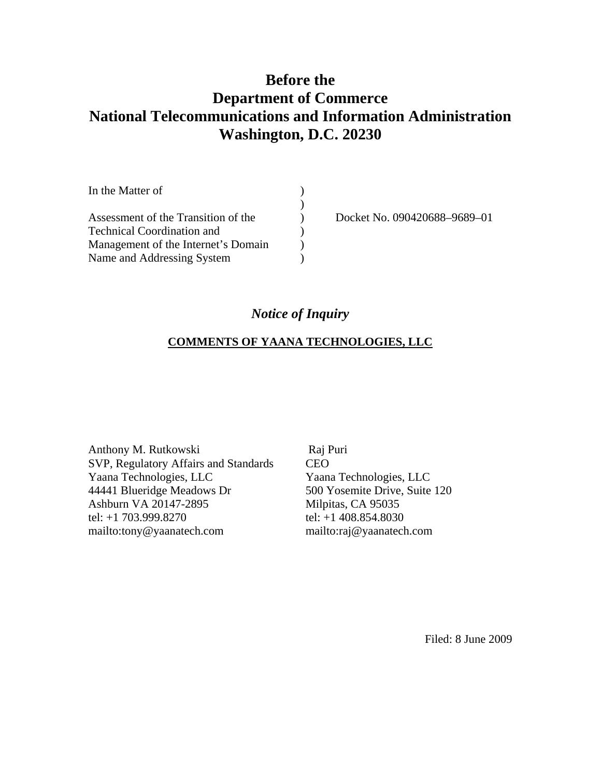# **Before the Department of Commerce National Telecommunications and Information Administration Washington, D.C. 20230**

| In the Matter of                    |              |
|-------------------------------------|--------------|
|                                     |              |
| Assessment of the Transition of the | Docket No. 0 |
| <b>Technical Coordination and</b>   |              |
| Management of the Internet's Domain |              |
| Name and Addressing System          |              |

090420688–9689–01

## *Notice of Inquiry*

## **COMMENTS OF YAANA TECHNOLOGIES, LLC**

Anthony M. Rutkowski SVP, Regulatory Affairs and Standards Yaana Technologies, LLC 44441 Blueridge Meadows Dr Ashburn VA 20147-2895 tel: +1 703.999.8270 mailto:tony@yaanatech.com

 Raj Puri CEO Yaana Technologies, LLC 500 Yosemite Drive, Suite 120 Milpitas, CA 95035 tel: +1 408.854.8030 mailto:raj@yaanatech.com

Filed: 8 June 2009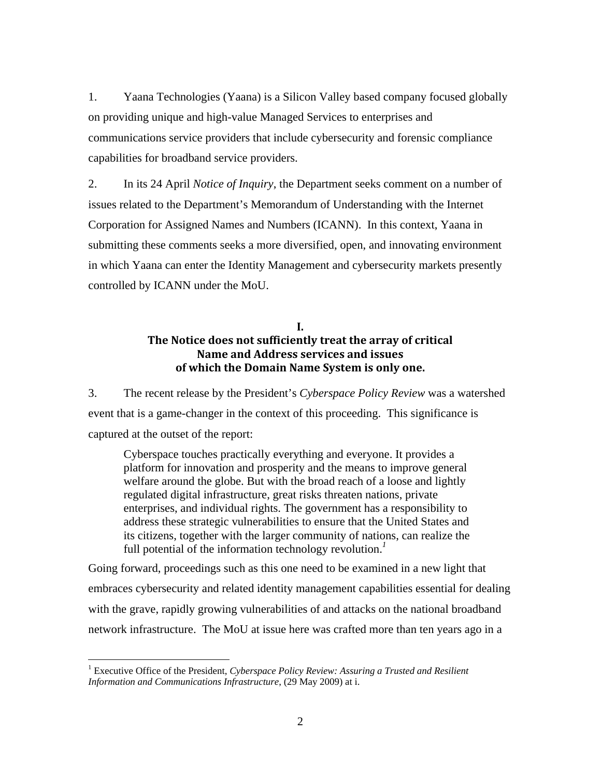1. Yaana Technologies (Yaana) is a Silicon Valley based company focused globally on providing unique and high-value Managed Services to enterprises and communications service providers that include cybersecurity and forensic compliance capabilities for broadband service providers.

2. In its 24 April *Notice of Inquiry*, the Department seeks comment on a number of issues related to the Department's Memorandum of Understanding with the Internet Corporation for Assigned Names and Numbers (ICANN). In this context, Yaana in submitting these comments seeks a more diversified, open, and innovating environment in which Yaana can enter the Identity Management and cybersecurity markets presently controlled by ICANN under the MoU.

### **I. The Notice does not sufficiently treat the array of critical Name and Address services and issues of which the Domain Name System is only one.**

3. The recent release by the President's *Cyberspace Policy Review* was a watershed event that is a game-changer in the context of this proceeding. This significance is captured at the outset of the report:

Cyberspace touches practically everything and everyone. It provides a platform for innovation and prosperity and the means to improve general welfare around the globe. But with the broad reach of a loose and lightly regulated digital infrastructure, great risks threaten nations, private enterprises, and individual rights. The government has a responsibility to address these strategic vulnerabilities to ensure that the United States and its citizens, together with the larger community of nations, can realize the full potential of the information technology revolution.*<sup>1</sup>*

Going forward, proceedings such as this one need to be examined in a new light that embraces cybersecurity and related identity management capabilities essential for dealing with the grave, rapidly growing vulnerabilities of and attacks on the national broadband network infrastructure. The MoU at issue here was crafted more than ten years ago in a

 $\overline{a}$ 

<sup>&</sup>lt;sup>1</sup> Executive Office of the President, *Cyberspace Policy Review: Assuring a Trusted and Resilient Information and Communications Infrastructure*, (29 May 2009) at i.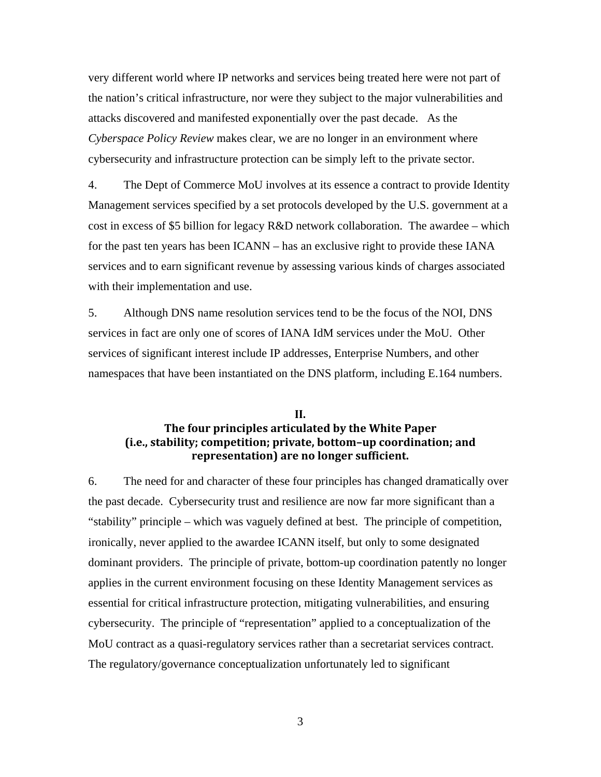very different world where IP networks and services being treated here were not part of the nation's critical infrastructure, nor were they subject to the major vulnerabilities and attacks discovered and manifested exponentially over the past decade. As the *Cyberspace Policy Review* makes clear, we are no longer in an environment where cybersecurity and infrastructure protection can be simply left to the private sector.

4. The Dept of Commerce MoU involves at its essence a contract to provide Identity Management services specified by a set protocols developed by the U.S. government at a cost in excess of \$5 billion for legacy R&D network collaboration. The awardee – which for the past ten years has been ICANN – has an exclusive right to provide these IANA services and to earn significant revenue by assessing various kinds of charges associated with their implementation and use.

5. Although DNS name resolution services tend to be the focus of the NOI, DNS services in fact are only one of scores of IANA IdM services under the MoU. Other services of significant interest include IP addresses, Enterprise Numbers, and other namespaces that have been instantiated on the DNS platform, including E.164 numbers.

#### **II. The four principles articulated by the White Paper (i.e., stability; competition; private, bottom–up coordination; and representation) are no longer sufficient.**

6. The need for and character of these four principles has changed dramatically over the past decade. Cybersecurity trust and resilience are now far more significant than a "stability" principle – which was vaguely defined at best. The principle of competition, ironically, never applied to the awardee ICANN itself, but only to some designated dominant providers. The principle of private, bottom-up coordination patently no longer applies in the current environment focusing on these Identity Management services as essential for critical infrastructure protection, mitigating vulnerabilities, and ensuring cybersecurity. The principle of "representation" applied to a conceptualization of the MoU contract as a quasi-regulatory services rather than a secretariat services contract. The regulatory/governance conceptualization unfortunately led to significant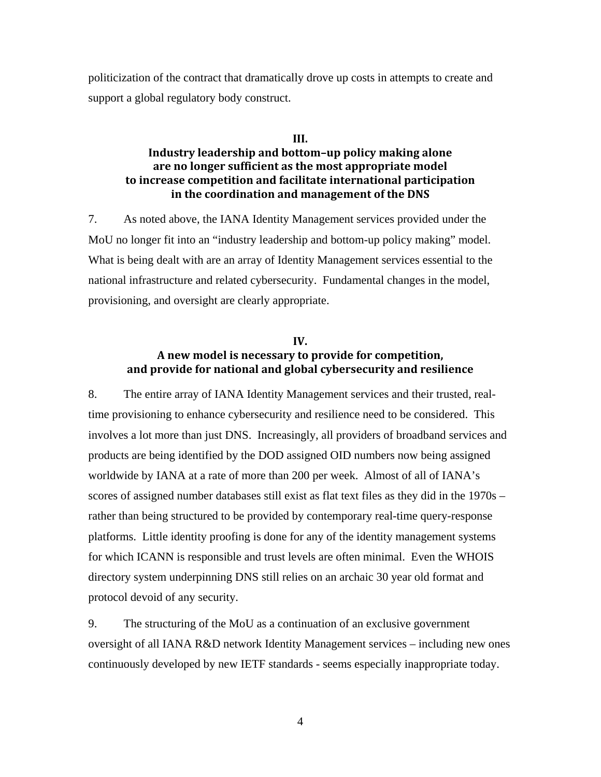politicization of the contract that dramatically drove up costs in attempts to create and support a global regulatory body construct.

#### **III.**

### **Industry leadership and bottom–up policy making alone are no longer sufficient as the most appropriate model to increase competition and facilitate international participation in the coordination and management of the DNS**

7. As noted above, the IANA Identity Management services provided under the MoU no longer fit into an "industry leadership and bottom-up policy making" model. What is being dealt with are an array of Identity Management services essential to the national infrastructure and related cybersecurity. Fundamental changes in the model, provisioning, and oversight are clearly appropriate.

#### **IV. A new model is necessary to provide for competition, and provide for national and global cybersecurity and resilience**

8. The entire array of IANA Identity Management services and their trusted, realtime provisioning to enhance cybersecurity and resilience need to be considered. This involves a lot more than just DNS. Increasingly, all providers of broadband services and products are being identified by the DOD assigned OID numbers now being assigned worldwide by IANA at a rate of more than 200 per week. Almost of all of IANA's scores of assigned number databases still exist as flat text files as they did in the 1970s – rather than being structured to be provided by contemporary real-time query-response platforms. Little identity proofing is done for any of the identity management systems for which ICANN is responsible and trust levels are often minimal. Even the WHOIS directory system underpinning DNS still relies on an archaic 30 year old format and protocol devoid of any security.

9. The structuring of the MoU as a continuation of an exclusive government oversight of all IANA R&D network Identity Management services – including new ones continuously developed by new IETF standards - seems especially inappropriate today.

4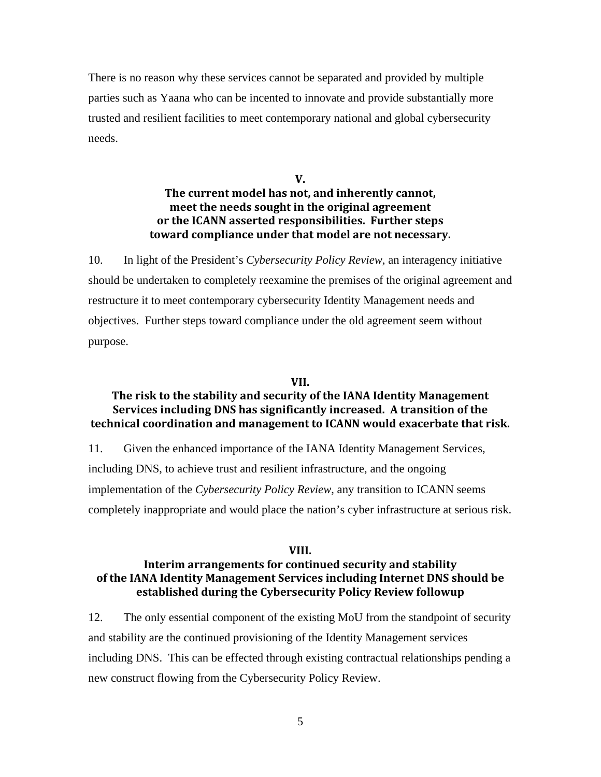There is no reason why these services cannot be separated and provided by multiple parties such as Yaana who can be incented to innovate and provide substantially more trusted and resilient facilities to meet contemporary national and global cybersecurity needs.

> **V. The current model has not, and inherently cannot, meet the needs sought in the original agreement or the ICANN asserted responsibilities. Further steps toward compliance under that model are not necessary.**

10. In light of the President's *Cybersecurity Policy Review*, an interagency initiative should be undertaken to completely reexamine the premises of the original agreement and restructure it to meet contemporary cybersecurity Identity Management needs and objectives. Further steps toward compliance under the old agreement seem without purpose.

#### **VII.**

#### **The risk to the stability and security of the IANA Identity Management Services including DNS has significantly increased. A transition of the technical coordination and management to ICANN would exacerbate that risk.**

11. Given the enhanced importance of the IANA Identity Management Services, including DNS, to achieve trust and resilient infrastructure, and the ongoing implementation of the *Cybersecurity Policy Review*, any transition to ICANN seems completely inappropriate and would place the nation's cyber infrastructure at serious risk.

#### **VIII.**

### **Interim arrangements for continued security and stability of the IANA Identity Management Services including Internet DNS should be established during the Cybersecurity Policy Review followup**

12. The only essential component of the existing MoU from the standpoint of security and stability are the continued provisioning of the Identity Management services including DNS. This can be effected through existing contractual relationships pending a new construct flowing from the Cybersecurity Policy Review.